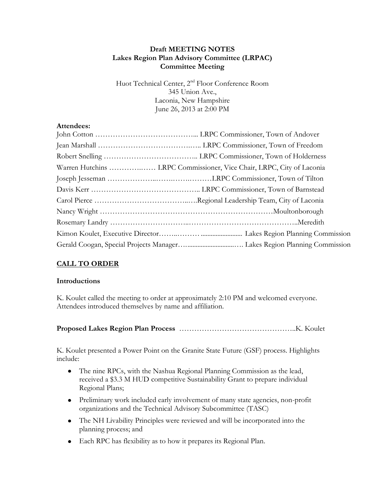# **Draft MEETING NOTES Lakes Region Plan Advisory Committee (LRPAC) Committee Meeting**

Huot Technical Center, 2<sup>nd</sup> Floor Conference Room 345 Union Ave., Laconia, New Hampshire June 26, 2013 at 2:00 PM

# **Attendees:**

| Warren Hutchins  LRPC Commissioner, Vice Chair, LRPC, City of Laconia |
|-----------------------------------------------------------------------|
|                                                                       |
|                                                                       |
|                                                                       |
|                                                                       |
|                                                                       |
|                                                                       |
|                                                                       |

# **CALL TO ORDER**

### **Introductions**

K. Koulet called the meeting to order at approximately 2:10 PM and welcomed everyone. Attendees introduced themselves by name and affiliation.

|--|--|

K. Koulet presented a Power Point on the Granite State Future (GSF) process. Highlights include:

- The nine RPCs, with the Nashua Regional Planning Commission as the lead,  $\bullet$ received a \$3.3 M HUD competitive Sustainability Grant to prepare individual Regional Plans;
- Preliminary work included early involvement of many state agencies, non-profit organizations and the Technical Advisory Subcommittee (TASC)
- The NH Livability Principles were reviewed and will be incorporated into the planning process; and
- Each RPC has flexibility as to how it prepares its Regional Plan.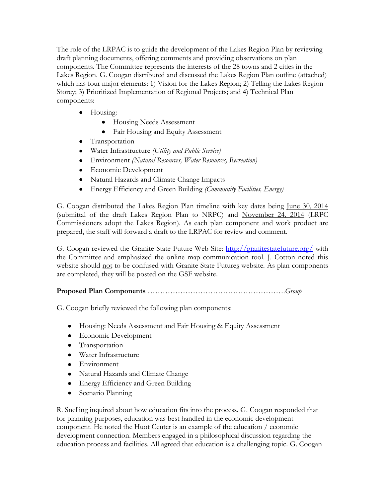The role of the LRPAC is to guide the development of the Lakes Region Plan by reviewing draft planning documents, offering comments and providing observations on plan components. The Committee represents the interests of the 28 towns and 2 cities in the Lakes Region. G. Coogan distributed and discussed the Lakes Region Plan outline (attached) which has four major elements: 1) Vision for the Lakes Region; 2) Telling the Lakes Region Storey; 3) Prioritized Implementation of Regional Projects; and 4) Technical Plan components:

- Housing:
	- Housing Needs Assessment
	- Fair Housing and Equity Assessment
- Transportation
- Water Infrastructure *(Utility and Public Service)*
- Environment *(Natural Resources, Water Resources, Recreation)*
- Economic Development
- Natural Hazards and Climate Change Impacts
- $\bullet$ Energy Efficiency and Green Building *(Community Facilities, Energy)*

G. Coogan distributed the Lakes Region Plan timeline with key dates being June 30, 2014 (submittal of the draft Lakes Region Plan to NRPC) and November 24, 2014 (LRPC Commissioners adopt the Lakes Region). As each plan component and work product are prepared, the staff will forward a draft to the LRPAC for review and comment.

G. Coogan reviewed the Granite State Future Web Site:<http://granitestatefuture.org/> with the Committee and emphasized the online map communication tool. J. Cotton noted this website should not to be confused with Granite State Futures website. As plan components are completed, they will be posted on the GSF website.

# **Proposed Plan Components** ……………………………………………….*Group*

G. Coogan briefly reviewed the following plan components:

- Housing: Needs Assessment and Fair Housing & Equity Assessment
- Economic Development
- Transportation
- Water Infrastructure
- Environment
- Natural Hazards and Climate Change
- **•** Energy Efficiency and Green Building
- Scenario Planning

R. Snelling inquired about how education fits into the process. G. Coogan responded that for planning purposes, education was best handled in the economic development component. He noted the Huot Center is an example of the education / economic development connection. Members engaged in a philosophical discussion regarding the education process and facilities. All agreed that education is a challenging topic. G. Coogan